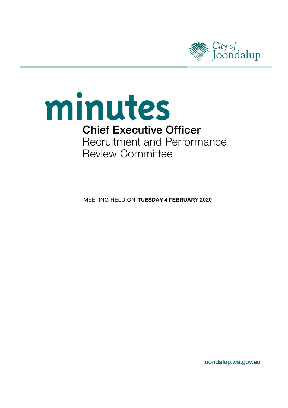

# minutes **Chief Executive Officer** Recruitment and Performance **Review Committee**

**MEETING HELD ON TUESDAY 4 FEBRUARY 2020** 

joondalup.wa.gov.au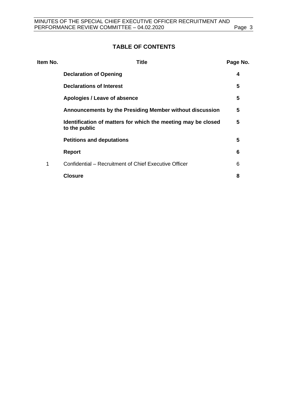# **TABLE OF CONTENTS**

| Item No. | Title                                                                          | Page No. |
|----------|--------------------------------------------------------------------------------|----------|
|          | <b>Declaration of Opening</b>                                                  | 4        |
|          | <b>Declarations of Interest</b>                                                | 5        |
|          | Apologies / Leave of absence                                                   | 5        |
|          | Announcements by the Presiding Member without discussion                       | 5        |
|          | Identification of matters for which the meeting may be closed<br>to the public | 5        |
|          | <b>Petitions and deputations</b>                                               | 5        |
|          | <b>Report</b>                                                                  | 6        |
| 1        | Confidential – Recruitment of Chief Executive Officer                          | 6        |
|          | <b>Closure</b>                                                                 | 8        |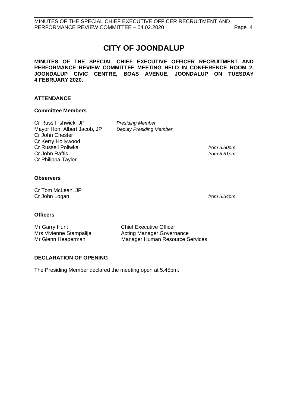# **CITY OF JOONDALUP**

**MINUTES OF THE SPECIAL CHIEF EXECUTIVE OFFICER RECRUITMENT AND PERFORMANCE REVIEW COMMITTEE MEETING HELD IN CONFERENCE ROOM 2, JOONDALUP CIVIC CENTRE, BOAS AVENUE, JOONDALUP ON TUESDAY 4 FEBRUARY 2020.** 

### **ATTENDANCE**

### **Committee Members**

Cr Russ Fishwick, JP *Presiding Member* Mayor Hon. Albert Jacob, JP *Deputy Presiding Member* Cr John Chester Cr Kerry Hollywood Cr Russell Poliwka *from 5.50pm* Cr John Raftis *from 5.51pm* Cr Philippa Taylor

#### **Observers**

Cr Tom McLean, JP Cr John Logan *from 5.54pm*

#### **Officers**

| Mr Garry Hunt           | <b>Chief Executive Officer</b>         |
|-------------------------|----------------------------------------|
| Mrs Vivienne Stampalija | Acting Manager Governance              |
| Mr Glenn Heaperman      | <b>Manager Human Resource Services</b> |

#### <span id="page-2-0"></span>**DECLARATION OF OPENING**

The Presiding Member declared the meeting open at 5.45pm.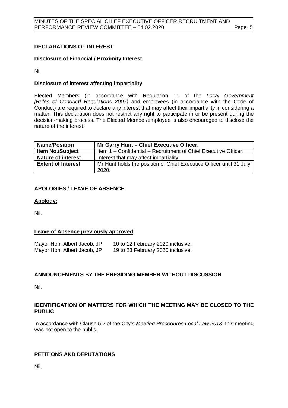#### <span id="page-3-0"></span>**DECLARATIONS OF INTEREST**

#### **Disclosure of Financial / Proximity Interest**

Ni.

#### **Disclosure of interest affecting impartiality**

Elected Members (in accordance with Regulation 11 of the *Local Government [Rules of Conduct] Regulations 2007)* and employees (in accordance with the Code of Conduct) are required to declare any interest that may affect their impartiality in considering a matter. This declaration does not restrict any right to participate in or be present during the decision-making process. The Elected Member/employee is also encouraged to disclose the nature of the interest.

| <b>Name/Position</b>      | Mr Garry Hunt - Chief Executive Officer.                                     |
|---------------------------|------------------------------------------------------------------------------|
| <b>Item No./Subject</b>   | Item 1 – Confidential – Recruitment of Chief Executive Officer.              |
| <b>Nature of interest</b> | Interest that may affect impartiality.                                       |
| <b>Extent of Interest</b> | Mr Hunt holds the position of Chief Executive Officer until 31 July<br>2020. |

#### <span id="page-3-1"></span>**APOLOGIES / LEAVE OF ABSENCE**

#### **Apology:**

Nil.

#### **Leave of Absence previously approved**

| Mayor Hon. Albert Jacob, JP | 10 to 12 February 2020 inclusive; |
|-----------------------------|-----------------------------------|
| Mayor Hon. Albert Jacob, JP | 19 to 23 February 2020 inclusive. |

#### <span id="page-3-2"></span>**ANNOUNCEMENTS BY THE PRESIDING MEMBER WITHOUT DISCUSSION**

Nil.

#### <span id="page-3-3"></span>**IDENTIFICATION OF MATTERS FOR WHICH THE MEETING MAY BE CLOSED TO THE PUBLIC**

In accordance with Clause 5.2 of the City's *Meeting Procedures Local Law 2013*, this meeting was not open to the public.

#### <span id="page-3-4"></span>**PETITIONS AND DEPUTATIONS**

Nil.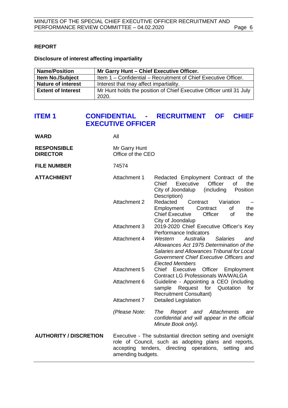#### <span id="page-4-0"></span>**REPORT**

#### **Disclosure of interest affecting impartiality**

| <b>Name/Position</b>      | Mr Garry Hunt - Chief Executive Officer.                            |
|---------------------------|---------------------------------------------------------------------|
| <b>Item No./Subject</b>   | Item 1 – Confidential – Recruitment of Chief Executive Officer.     |
| <b>Nature of interest</b> | Interest that may affect impartiality.                              |
| <b>Extent of Interest</b> | Mr Hunt holds the position of Chief Executive Officer until 31 July |
|                           | 2020.                                                               |

## <span id="page-4-1"></span>**ITEM 1 CONFIDENTIAL - RECRUITMENT OF CHIEF EXECUTIVE OFFICER**

| <b>WARD</b>                           | All                                                                                                                                                                                                       |                                                                                                                                                                                                               |
|---------------------------------------|-----------------------------------------------------------------------------------------------------------------------------------------------------------------------------------------------------------|---------------------------------------------------------------------------------------------------------------------------------------------------------------------------------------------------------------|
| <b>RESPONSIBLE</b><br><b>DIRECTOR</b> | Mr Garry Hunt<br>Office of the CEO                                                                                                                                                                        |                                                                                                                                                                                                               |
| <b>FILE NUMBER</b>                    | 74574                                                                                                                                                                                                     |                                                                                                                                                                                                               |
| <b>ATTACHMENT</b>                     | Attachment 1                                                                                                                                                                                              | Redacted Employment Contract of the<br>Officer<br><b>of</b><br>Chief<br>Executive<br>the<br>City of Joondalup<br>(including<br>Position<br>Description)                                                       |
|                                       | Attachment 2                                                                                                                                                                                              | Redacted<br>Contract<br>Variation<br>Contract<br><b>of</b><br>the<br>Employment<br><b>Chief Executive</b><br>Officer<br><b>of</b><br>the<br>City of Joondalup                                                 |
|                                       | Attachment 3                                                                                                                                                                                              | 2019-2020 Chief Executive Officer's Key<br>Performance Indicators                                                                                                                                             |
|                                       | Attachment 4                                                                                                                                                                                              | Western<br>Australia<br><b>Salaries</b><br>and<br>Allowances Act 1975 Determination of the<br>Salaries and Allowances Tribunal for Local<br>Government Chief Executive Officers and<br><b>Elected Members</b> |
|                                       | Attachment 5                                                                                                                                                                                              | Chief Executive<br>Officer Employment<br><b>Contract LG Professionals WA/WALGA</b>                                                                                                                            |
|                                       | Attachment 6                                                                                                                                                                                              | Guideline - Appointing a CEO (including<br>sample<br>Request for Quotation<br>for<br><b>Recruitment Consultant)</b>                                                                                           |
|                                       | Attachment 7                                                                                                                                                                                              | <b>Detailed Legislation</b>                                                                                                                                                                                   |
|                                       | (Please Note:                                                                                                                                                                                             | The<br>Attachments<br>Report and<br>are<br>confidential and will appear in the official<br>Minute Book only).                                                                                                 |
| <b>AUTHORITY / DISCRETION</b>         | Executive - The substantial direction setting and oversight<br>role of Council, such as adopting plans and reports,<br>accepting tenders,<br>directing operations,<br>setting<br>and<br>amending budgets. |                                                                                                                                                                                                               |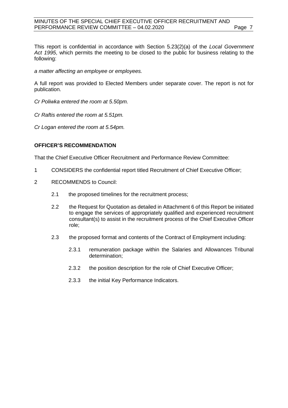### MINUTES OF THE SPECIAL CHIEF EXECUTIVE OFFICER RECRUITMENT AND PERFORMANCE REVIEW COMMITTEE - 04.02.2020 Page 7

This report is confidential in accordance with Section 5.23(2)(a) of the *Local Government Act 1995*, which permits the meeting to be closed to the public for business relating to the following:

*a matter affecting an employee or employees.*

A full report was provided to Elected Members under separate cover. The report is not for publication.

*Cr Poliwka entered the room at 5.50pm.*

*Cr Raftis entered the room at 5.51pm.*

*Cr Logan entered the room at 5.54pm.*

### **OFFICER'S RECOMMENDATION**

That the Chief Executive Officer Recruitment and Performance Review Committee:

- 1 CONSIDERS the confidential report titled Recruitment of Chief Executive Officer;
- 2 RECOMMENDS to Council:
	- 2.1 the proposed timelines for the recruitment process;
	- 2.2 the Request for Quotation as detailed in Attachment 6 of this Report be initiated to engage the services of appropriately qualified and experienced recruitment consultant(s) to assist in the recruitment process of the Chief Executive Officer role;
	- 2.3 the proposed format and contents of the Contract of Employment including:
		- 2.3.1 remuneration package within the Salaries and Allowances Tribunal determination;
		- 2.3.2 the position description for the role of Chief Executive Officer;
		- 2.3.3 the initial Key Performance Indicators.